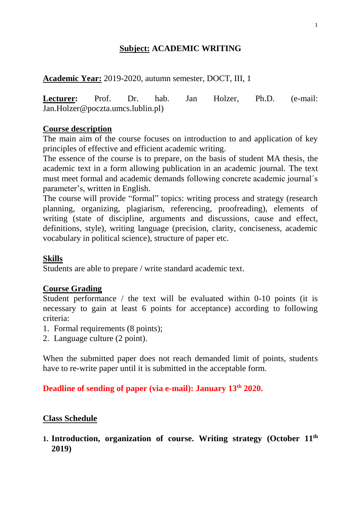# **Subject: ACADEMIC WRITING**

**Academic Year:** 2019-2020, autumn semester, DOCT, III, 1

**Lecturer:** Prof. Dr. hab. Jan Holzer, Ph.D. (e-mail: Jan.Holzer@poczta.umcs.lublin.pl)

## **Course description**

The main aim of the course focuses on introduction to and application of key principles of effective and efficient academic writing.

The essence of the course is to prepare, on the basis of student MA thesis, the academic text in a form allowing publication in an academic journal. The text must meet formal and academic demands following concrete academic journal´s parameter's, written in English.

The course will provide "formal" topics: writing process and strategy (research planning, organizing, plagiarism, referencing, proofreading), elements of writing (state of discipline, arguments and discussions, cause and effect, definitions, style), writing language (precision, clarity, conciseness, academic vocabulary in political science), structure of paper etc.

# **Skills**

Students are able to prepare / write standard academic text.

# **Course Grading**

Student performance / the text will be evaluated within 0-10 points (it is necessary to gain at least 6 points for acceptance) according to following criteria:

- 1. Formal requirements (8 points);
- 2. Language culture (2 point).

When the submitted paper does not reach demanded limit of points, students have to re-write paper until it is submitted in the acceptable form.

# **Deadline of sending of paper (via e-mail): January 13 th 2020.**

## **Class Schedule**

**1. Introduction, organization of course. Writing strategy (October 11 th 2019)**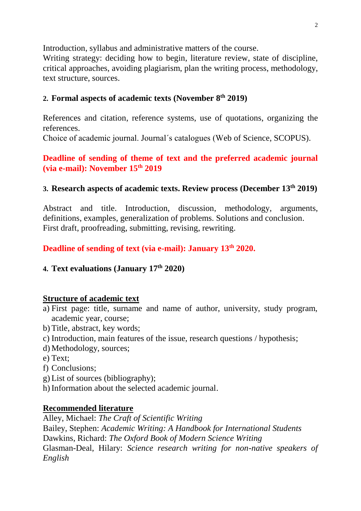Introduction, syllabus and administrative matters of the course.

Writing strategy: deciding how to begin, literature review, state of discipline, critical approaches, avoiding plagiarism, plan the writing process, methodology, text structure, sources.

## **2. Formal aspects of academic texts (November 8 th 2019)**

References and citation, reference systems, use of quotations, organizing the references.

Choice of academic journal. Journal´s catalogues (Web of Science, SCOPUS).

## **Deadline of sending of theme of text and the preferred academic journal (via e-mail): November 15th 2019**

# **3. Research aspects of academic texts. Review process (December 13th 2019)**

Abstract and title. Introduction, discussion, methodology, arguments, definitions, examples, generalization of problems. Solutions and conclusion. First draft, proofreading, submitting, revising, rewriting.

**Deadline of sending of text (via e-mail): January 13 th 2020.**

# **4. Text evaluations (January 17 th 2020)**

## **Structure of academic text**

- a) First page: title, surname and name of author, university, study program, academic year, course;
- b) Title, abstract, key words;
- c) Introduction, main features of the issue, research questions / hypothesis;
- d) Methodology, sources;
- e) Text;
- f) Conclusions;
- g) List of sources (bibliography);
- h) Information about the selected academic journal.

## **Recommended literature**

Alley, Michael: *The Craft of Scientific Writing* Bailey, Stephen: *Academic Writing: A Handbook for International Students* Dawkins, Richard: *The Oxford Book of Modern Science Writing* Glasman-Deal, Hilary: *Science research writing for non-native speakers of English*